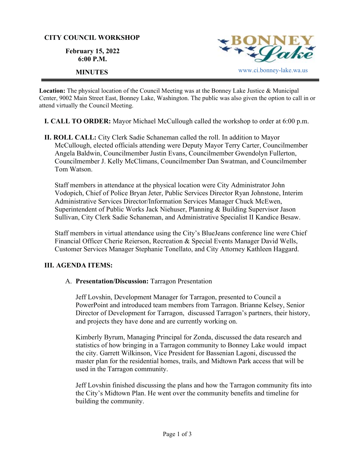#### **CITY COUNCIL WORKSHOP**

**February 15, 2022 6:00 P.M.** 



**Location:** The physical location of the Council Meeting was at the Bonney Lake Justice & Municipal Center, 9002 Main Street East, Bonney Lake, Washington. The public was also given the option to call in or attend virtually the Council Meeting.

**I. CALL TO ORDER:** Mayor Michael McCullough called the workshop to order at 6:00 p.m.

**II. ROLL CALL:** City Clerk Sadie Schaneman called the roll. In addition to Mayor McCullough, elected officials attending were Deputy Mayor Terry Carter, Councilmember Angela Baldwin, Councilmember Justin Evans, Councilmember Gwendolyn Fullerton, Councilmember J. Kelly McClimans, Councilmember Dan Swatman, and Councilmember Tom Watson.

Staff members in attendance at the physical location were City Administrator John Vodopich, Chief of Police Bryan Jeter, Public Services Director Ryan Johnstone, Interim Administrative Services Director/Information Services Manager Chuck McEwen, Superintendent of Public Works Jack Niehuser, Planning & Building Supervisor Jason Sullivan, City Clerk Sadie Schaneman, and Administrative Specialist II Kandice Besaw.

Staff members in virtual attendance using the City's BlueJeans conference line were Chief Financial Officer Cherie Reierson, Recreation & Special Events Manager David Wells, Customer Services Manager Stephanie Tonellato, and City Attorney Kathleen Haggard.

# **III. AGENDA ITEMS:**

## A. **Presentation/Discussion:** Tarragon Presentation

Jeff Lovshin, Development Manager for Tarragon, presented to Council a PowerPoint and introduced team members from Tarragon. Brianne Kelsey, Senior Director of Development for Tarragon, discussed Tarragon's partners, their history, and projects they have done and are currently working on.

Kimberly Byrum, Managing Principal for Zonda, discussed the data research and statistics of how bringing in a Tarragon community to Bonney Lake would impact the city. Garrett Wilkinson, Vice President for Bassenian Lagoni, discussed the master plan for the residential homes, trails, and Midtown Park access that will be used in the Tarragon community.

Jeff Lovshin finished discussing the plans and how the Tarragon community fits into the City's Midtown Plan. He went over the community benefits and timeline for building the community.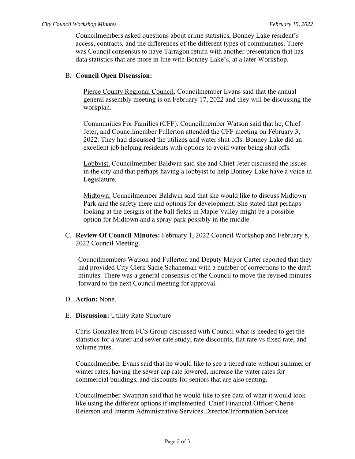Councilmembers asked questions about crime statistics, Bonney Lake resident's access, contracts, and the differences of the different types of communities. There was Council consensus to have Tarragon return with another presentation that has data statistics that are more in line with Bonney Lake's, at a later Workshop.

## B. **Council Open Discussion:**

Pierce County Regional Council. Councilmember Evans said that the annual general assembly meeting is on February 17, 2022 and they will be discussing the workplan.

Communities For Families (CFF). Councilmember Watson said that he, Chief Jeter, and Councilmember Fullerton attended the CFF meeting on February 3, 2022. They had discussed the utilizes and water shut offs. Bonney Lake did an excellent job helping residents with options to avoid water being shut offs.

Lobbyist. Councilmember Baldwin said she and Chief Jeter discussed the issues in the city and that perhaps having a lobbyist to help Bonney Lake have a voice in Legislature.

Midtown. Councilmember Baldwin said that she would like to discuss Midtown Park and the safety there and options for development. She stated that perhaps looking at the designs of the ball fields in Maple Valley might be a possible option for Midtown and a spray park possibly in the middle.

C. **Review Of Council Minutes:** February 1, 2022 Council Workshop and February 8, 2022 Council Meeting.

Councilmembers Watson and Fullerton and Deputy Mayor Carter reported that they had provided City Clerk Sadie Schaneman with a number of corrections to the draft minutes. There was a general consensus of the Council to move the revised minutes forward to the next Council meeting for approval.

- D. **Action:** None.
- E. **Discussion:** Utility Rate Structure

Chris Gonzalez from FCS Group discussed with Council what is needed to get the statistics for a water and sewer rate study, rate discounts, flat rate vs fixed rate, and volume rates.

Councilmember Evans said that he would like to see a tiered rate without summer or winter rates, having the sewer cap rate lowered, increase the water rates for commercial buildings, and discounts for seniors that are also renting.

Councilmember Swatman said that he would like to see data of what it would look like using the different options if implemented. Chief Financial Officer Cherie Reierson and Interim Administrative Services Director/Information Services